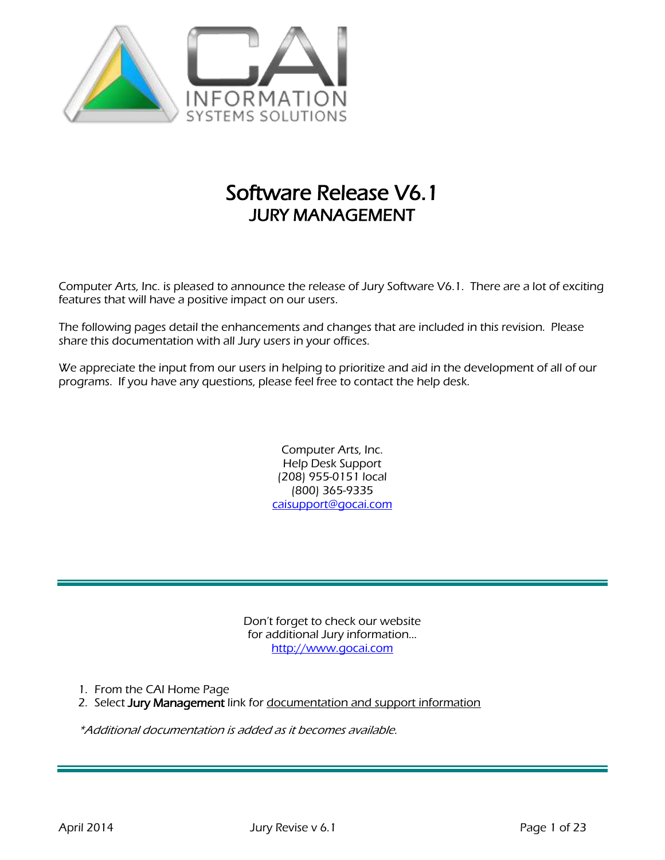

# Software Release V6.1 JURY MANAGEMENT

Computer Arts, Inc. is pleased to announce the release of Jury Software V6.1. There are a lot of exciting features that will have a positive impact on our users.

The following pages detail the enhancements and changes that are included in this revision. Please share this documentation with all Jury users in your offices.

We appreciate the input from our users in helping to prioritize and aid in the development of all of our programs. If you have any questions, please feel free to contact the help desk.

> Computer Arts, Inc. Help Desk Support (208) 955-0151 local (800) 365-9335 [caisupport@gocai.com](mailto:caisupport@gocai.com)

Don't forget to check our website for additional Jury information… [http://www.gocai.com](http://www.gocai.com/)

1. From the CAI Home Page

2. Select Jury Management link for documentation and support information

\*Additional documentation is added as it becomes available.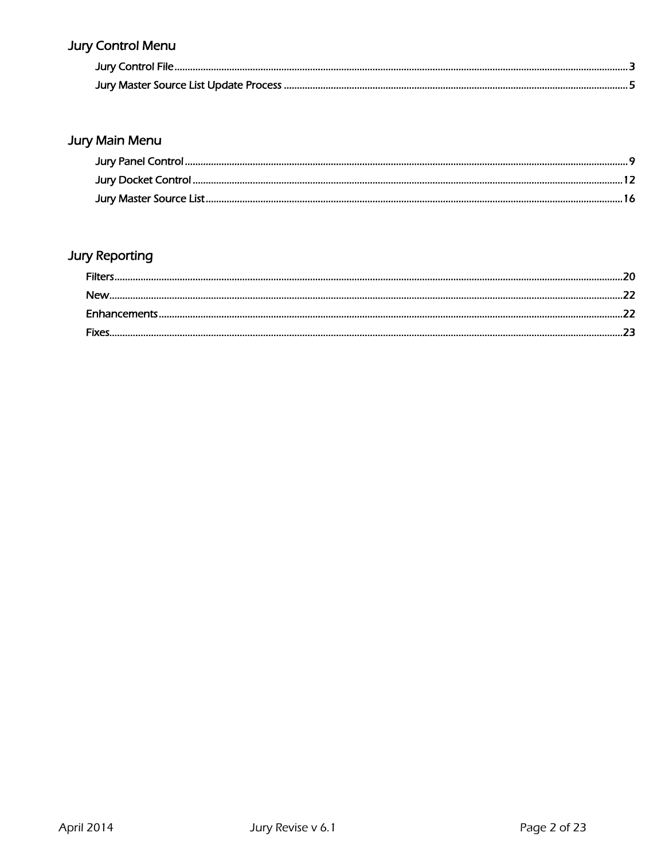# **Jury Control Menu**

# Jury Main Menu

# **Jury Reporting**

| Filters    |  |
|------------|--|
| <b>New</b> |  |
|            |  |
| Fives      |  |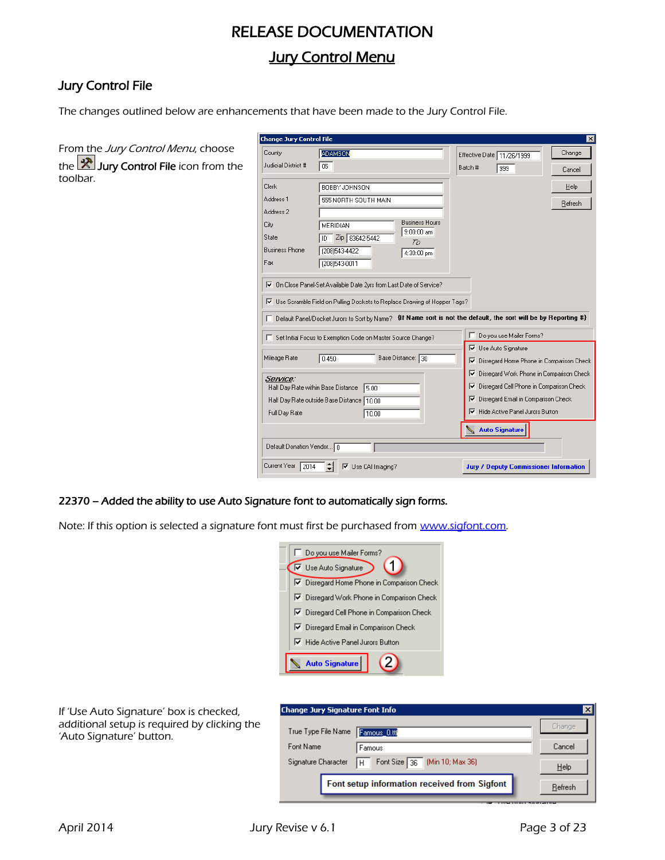## RELEASE DOCUMENTATION

## **Jury Control Menu**

## Jury Control File

The changes outlined below are enhancements that have been made to the Jury Control File.

| From the Jury Control Menu, choose           |
|----------------------------------------------|
| <b>the X</b> Jury Control File icon from the |
| toolbar.                                     |

| <b>Change Jury Control File</b> |                                                                            | ×                                                                                                                 |
|---------------------------------|----------------------------------------------------------------------------|-------------------------------------------------------------------------------------------------------------------|
| County                          | <b>ADAMSON</b>                                                             | Change<br>Effective Date 11/26/1999                                                                               |
| Judicial District #             | 05                                                                         | Batch #<br>999<br>Cancel                                                                                          |
| Clerk                           | BOBBY JOHNSON                                                              | <b>Help</b>                                                                                                       |
| Address <sub>1</sub>            | 555 NORTH SOUTH MAIN                                                       | Refresh                                                                                                           |
| Address <sub>2</sub>            |                                                                            |                                                                                                                   |
| City                            | <b>Business Hours</b><br>MERIDIAN<br>$9:00:00$ am                          |                                                                                                                   |
| State                           | Zip 83642-5442<br>ID<br>Ta                                                 |                                                                                                                   |
| <b>Business Phone</b>           | (208)543-4422<br>4:30:00 pm                                                |                                                                                                                   |
| Fax                             | (208)543-0011                                                              |                                                                                                                   |
| ⊽                               | On Close Panel-Set Available Date 2yrs from Last Date of Service?          |                                                                                                                   |
|                                 |                                                                            |                                                                                                                   |
|                                 | Ⅳ Use Scramble Field on Pulling Dockets to Replace Drawing of Hopper Tags? |                                                                                                                   |
|                                 |                                                                            | □ Default Panel/Docket Jurors to Sort by Name? {If Name sort is not the default, the sort will be by Reporting #} |
|                                 | Set Initial Focus to Exemption Code on Master Source Change?               | Do you use Mailer Forms?                                                                                          |
|                                 |                                                                            | <b>▽</b> Use Auto Signature                                                                                       |
| Mileage Rate                    | 0.450<br>Base Distance: 30                                                 | Disregard Home Phone in Comparison Check<br>⊽                                                                     |
| Service:                        |                                                                            | Disregard Work Phone in Comparison Check<br>⊮                                                                     |
|                                 | Half Day Rate within Base Distance<br>5.00                                 | Disregard Cell Phone in Comparison Check<br>⊮                                                                     |
|                                 | Half Day Rate outside Base Distance 10.00                                  | Disregard Email in Comparison Check<br>⊽                                                                          |
| Full Day Rate                   | 10.00                                                                      | <b>▽</b> Hide Active Panel Jurors Button                                                                          |
|                                 |                                                                            | <b>Auto Signature</b>                                                                                             |
| Default Donation Vendor 0       |                                                                            |                                                                                                                   |
| Current Year<br>2014            | $\triangledown$ Use CAI Imaging?                                           | <b>Jury / Deputy Commissioner Information</b>                                                                     |

## 22370 – Added the ability to use Auto Signature font to automatically sign forms.

Note: If this option is selected a signature font must first be purchased from [www.sigfont.com.](http://www.sigfont.com/)

| Do you use Mailer Forms?                   |  |  |  |  |  |
|--------------------------------------------|--|--|--|--|--|
| <b>▽</b> Use Auto Signature                |  |  |  |  |  |
| □ Disregard Home Phone in Comparison Check |  |  |  |  |  |
| Ⅳ Disregard Work Phone in Comparison Check |  |  |  |  |  |
| Ⅳ Disregard Cell Phone in Comparison Check |  |  |  |  |  |
| Ⅳ Disregard Email in Comparison Check      |  |  |  |  |  |
| Ⅳ Hide Active Panel Jurors Button          |  |  |  |  |  |
| <b>Auto Signature</b>                      |  |  |  |  |  |

If 'Use Auto Signature' box is checked, additional setup is required by clicking the 'Auto Signature' button.

| <b>Change Jury Signature Font Info</b><br>$\vert x \vert$ |                                              |               |  |  |  |  |  |  |
|-----------------------------------------------------------|----------------------------------------------|---------------|--|--|--|--|--|--|
| True Type File Name                                       | Famous_0.ttl                                 | <b>Change</b> |  |  |  |  |  |  |
| Font Name                                                 | Famous                                       | Cancel        |  |  |  |  |  |  |
| Signature Character                                       | Font Size 36 (Min 10; Max 36)<br>H           | Help          |  |  |  |  |  |  |
|                                                           | Font setup information received from Sigfont | Refresh       |  |  |  |  |  |  |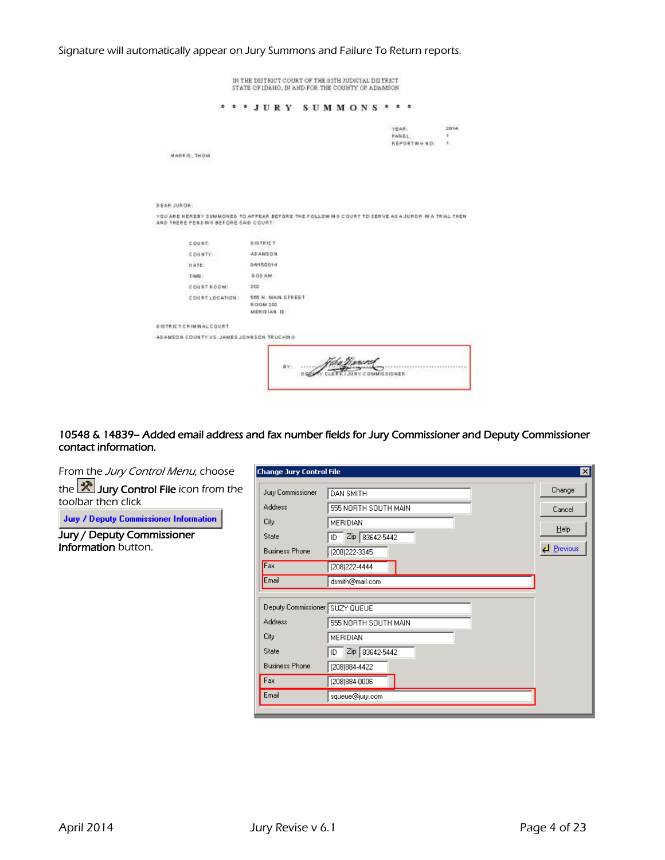|             |                                                                                                                                          |  |                |                |             | $***JURY$ SUMMONS * * *   |  |  |          |  |                |               |                |
|-------------|------------------------------------------------------------------------------------------------------------------------------------------|--|----------------|----------------|-------------|---------------------------|--|--|----------|--|----------------|---------------|----------------|
|             |                                                                                                                                          |  |                |                |             |                           |  |  |          |  | YEAR:<br>PANEL | REPORTING NO. | 2014<br>٠<br>٠ |
|             | HARRIS, THOM                                                                                                                             |  |                |                |             |                           |  |  |          |  |                |               |                |
|             |                                                                                                                                          |  |                |                |             |                           |  |  |          |  |                |               |                |
|             |                                                                                                                                          |  |                |                |             |                           |  |  |          |  |                |               |                |
|             |                                                                                                                                          |  |                |                |             |                           |  |  |          |  |                |               |                |
| DEAR JUROR: |                                                                                                                                          |  |                |                |             |                           |  |  |          |  |                |               |                |
|             | YOU ARE HEREBY SUMMONED TO APPEAR BEFORE THE FOLLOWING COURT TO SERVE AS A JURDN IN A TRIAL THEN<br>AND THERE PEND WO BEFORE SAID COURT: |  |                |                |             |                           |  |  |          |  |                |               |                |
|             | COURT                                                                                                                                    |  | <b>CONTROL</b> | DISTRICT       |             |                           |  |  |          |  |                |               |                |
|             | COUNTY                                                                                                                                   |  |                | <b>ADAMSON</b> |             |                           |  |  |          |  |                |               |                |
|             | DATE:                                                                                                                                    |  |                | 04/15/2014     |             |                           |  |  |          |  |                |               |                |
|             | TIME:                                                                                                                                    |  |                | 9:00 AM        |             |                           |  |  |          |  |                |               |                |
|             | <b>COURTROOM</b>                                                                                                                         |  | 202            |                |             |                           |  |  |          |  |                |               |                |
|             | COUNT LOCATION                                                                                                                           |  |                | ROOM 202       | MERIDIAN ID | <b>555 N. MAIN STREET</b> |  |  |          |  |                |               |                |
|             | progressive program structure<br><b>DISTRICT CHIMINAL COURT</b>                                                                          |  |                |                |             |                           |  |  |          |  |                |               |                |
|             | ADAMSON COUNTY VS. JAMES JOHNSON TRUCHING.                                                                                               |  |                |                |             |                           |  |  |          |  |                |               |                |
|             |                                                                                                                                          |  |                |                |             |                           |  |  |          |  |                |               |                |
|             |                                                                                                                                          |  |                |                |             |                           |  |  | ("Kanato |  |                |               |                |

Signature will automatically appear on Jury Summons and Failure To Return reports.

#### 10548 & 14839– Added email address and fax number fields for Jury Commissioner and Deputy Commissioner contact information.

| From the Jury Control Menu, choose                                     | $\overline{\mathbf{x}}$<br><b>Change Jury Control File</b> |                                          |                  |  |  |  |
|------------------------------------------------------------------------|------------------------------------------------------------|------------------------------------------|------------------|--|--|--|
| the $\mathbb{R}$ Jury Control File icon from the<br>toolbar then click | Jury Commissioner<br><b>Address</b>                        | <b>DAN SMITH</b><br>555 NORTH SOUTH MAIN | Change<br>Cancel |  |  |  |
| <b>Jury / Deputy Commissioner Information</b>                          | City                                                       | <b>MERIDIAN</b>                          | Help             |  |  |  |
| Jury / Deputy Commissioner<br>Information button.                      | State<br><b>Business Phone</b>                             | ID Zip 83642-5442<br>(208) 222-3345      | $\Box$ Previous  |  |  |  |
|                                                                        | Fax                                                        | (208) 222-4444                           |                  |  |  |  |
|                                                                        | Email                                                      | dsmith@mail.com                          |                  |  |  |  |
|                                                                        | Deputy Commissioner SUZY QUEUE                             |                                          |                  |  |  |  |
|                                                                        | <b>Address</b>                                             | 555 NORTH SOUTH MAIN                     |                  |  |  |  |
|                                                                        | City                                                       | <b>MERIDIAN</b>                          |                  |  |  |  |
|                                                                        | State                                                      | ID Zip 83642-5442                        |                  |  |  |  |
|                                                                        | <b>Business Phone</b>                                      | (208) 884-4422                           |                  |  |  |  |
|                                                                        | Fax                                                        | (208) 884-0006                           |                  |  |  |  |
|                                                                        | Email                                                      | squeue@jury.com                          |                  |  |  |  |

┚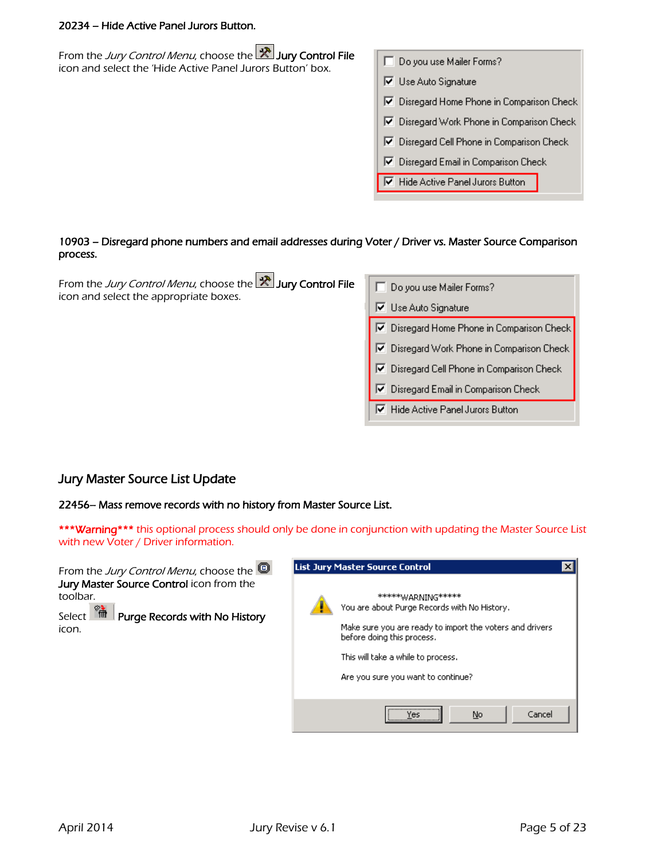#### 20234 – Hide Active Panel Jurors Button.

| From the <i>Jury Control Menu</i> , choose the <b>X</b> Jury Control File<br>icon and select the 'Hide Active Panel Jurors Button' box. | Do you use Mailer Forms?                                   |
|-----------------------------------------------------------------------------------------------------------------------------------------|------------------------------------------------------------|
|                                                                                                                                         | Use Auto Signature<br>↜                                    |
|                                                                                                                                         | Disregard Home Phone in Comparison Check<br>↜              |
|                                                                                                                                         | Disregard Work Phone in Comparison Check<br>☞              |
|                                                                                                                                         | Disregard Cell Phone in Comparison Check<br>⊮              |
|                                                                                                                                         | Disregard Email in Comparison Check<br>⊮                   |
|                                                                                                                                         | $\overline{\triangledown}$ Hide Active Panel Jurors Button |
|                                                                                                                                         |                                                            |
|                                                                                                                                         |                                                            |

#### 10903 – Disregard phone numbers and email addresses during Voter / Driver vs. Master Source Comparison process.

| From the Jury Control Menu, choose the <b>X</b> Jury Control File<br>icon and select the appropriate boxes. | Do you use Mailer Forms?                   |
|-------------------------------------------------------------------------------------------------------------|--------------------------------------------|
|                                                                                                             | Use Auto Signature<br>⊽.                   |
|                                                                                                             | Ⅳ Disregard Home Phone in Comparison Che   |
|                                                                                                             | Ⅳ Disregard Work Phone in Comparison Cher  |
|                                                                                                             | 区 Disregard Cell Phone in Comparison Check |
|                                                                                                             | Disregard Email in Comparison Check<br>फ़  |
|                                                                                                             | Hide Active Panel Jurors Button<br>⊮       |

## Jury Master Source List Update

22456– Mass remove records with no history from Master Source List.

\*\*\*Warning\*\*\* this optional process should only be done in conjunction with updating the Master Source List with new Voter / Driver information.



ck. эk,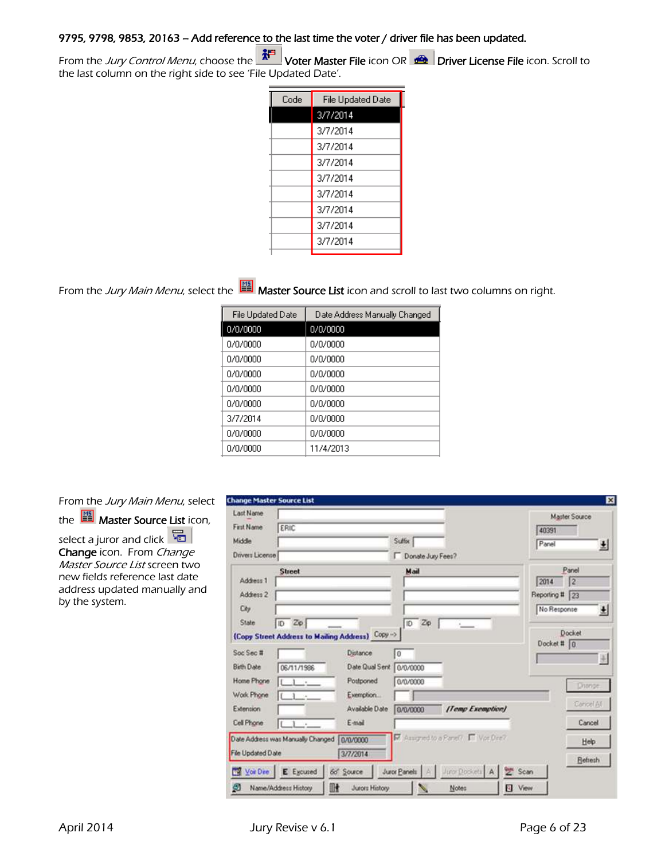## 9795, 9798, 9853, 20163 – Add reference to the last time the voter / driver file has been updated.

From the Jury Control Menu, choose the **WELL Voter Master File** icon OR **Driver License File** icon. Scroll to the last column on the right side to see 'File Updated Date'.

| Code | File Updated Date |
|------|-------------------|
|      | 3/7/2014          |
|      | 3/7/2014          |
|      | 3/7/2014          |
|      | 3/7/2014          |
|      | 3/7/2014          |
|      | 3/7/2014          |
|      | 3/7/2014          |
|      | 3/7/2014          |
|      | 3/7/2014          |
|      |                   |

From the Jury Main Menu, select the  $\Box$  Master Source List icon and scroll to last two columns on right.

| File Updated Date | Date Address Manually Changed |
|-------------------|-------------------------------|
| 0/0/0000          | 0/0/0000                      |
| 0/0/0000          | 0/0/0000                      |
| 0/0/0000          | 0/0/0000                      |
| 0/0/0000          | 0/0/0000                      |
| 0/0/0000          | n/n/nnnn                      |
| 0/0/0000          | 0/0/0000                      |
| 3/7/2014          | 0/0/0000                      |
| 0/0/0000          | 0/0/0000                      |
| 0/0/0000          | 11/4/2013                     |

From the Jury Main Menu, select

the  $\frac{1}{2}$  Master Source List icon,

select a juror and click  $\sqrt{E}$ Change icon. From Change Master Source List screen two new fields reference last date address updated manually and by the system.

| Last Name                |                                     |                                                  |                   |                                    |             | <b>Master Source</b> |
|--------------------------|-------------------------------------|--------------------------------------------------|-------------------|------------------------------------|-------------|----------------------|
| First Name               | ERIC                                |                                                  |                   |                                    | 40391       |                      |
| Middle                   |                                     |                                                  | Suffer            |                                    | Panel       | 뵈                    |
| Drivers License          |                                     |                                                  | Donate Jury Fees? |                                    |             |                      |
|                          | <b>Street</b>                       |                                                  | Mail              |                                    |             | Panel                |
| Address 1                |                                     |                                                  |                   |                                    | 2014        | 12                   |
| Address 2                |                                     |                                                  |                   |                                    | Reporting # | 23                   |
| City                     |                                     |                                                  |                   |                                    | No Response | 뵈                    |
| State                    | $ID$ $Z\phi$                        |                                                  | Zp<br>ID          |                                    |             |                      |
|                          |                                     | (Copy Street Address to Mailing Address) Copy -> |                   |                                    | Docket # 0  | Docket               |
| Soc Sec #                |                                     | Distance                                         | $\overline{0}$    |                                    |             |                      |
| <b>Bith Date</b>         | 06/11/1996                          | Date Qual Sent                                   | 0/0/0000          |                                    |             |                      |
| Home Phone               | $\Gamma$ .                          | Postponed                                        | 0/0/0000          |                                    |             |                      |
| Work Phone               | - 1<br>$-16$                        | Exemption                                        |                   |                                    |             | Dispinger            |
| Extension                |                                     | Available Date                                   | 0/0/0000          | [Temp Exemption]                   |             | <b>Garronl All</b>   |
| <b>Cell Phone</b>        | $\rightarrow$<br>L<br>$\rightarrow$ | E-mail                                           |                   |                                    |             | Cancel               |
|                          | Date Address was Manually Changed   | 0/0/0000                                         |                   | R Assigned to a Panel? IT Vor Dre? |             | Help                 |
| <b>File Updated Date</b> |                                     | 3/7/2014                                         |                   |                                    |             | <b>Refresh</b>       |
|                          |                                     |                                                  |                   |                                    |             |                      |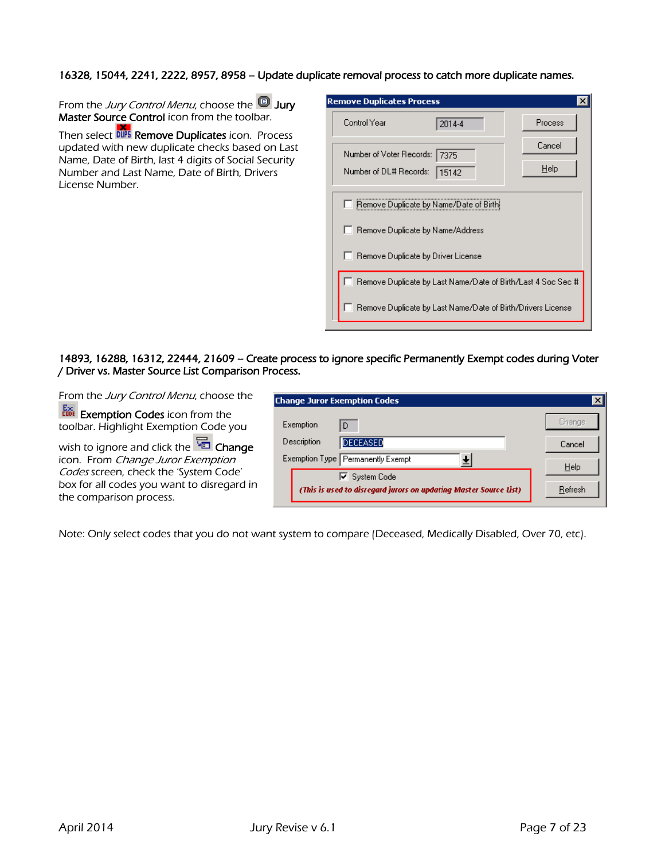#### 16328, 15044, 2241, 2222, 8957, 8958 – Update duplicate removal process to catch more duplicate names.

From the Jury Control Menu, choose the **D** Jury Master Source Control icon from the toolbar.

Then select DUPS Remove Duplicates icon. Process updated with new duplicate checks based on Last Name, Date of Birth, last 4 digits of Social Security Number and Last Name, Date of Birth, Drivers License Number.

| <b>Remove Duplicates Process</b>     |                                                             |                                                              |
|--------------------------------------|-------------------------------------------------------------|--------------------------------------------------------------|
| Control Year                         | 2014-4                                                      | Process                                                      |
| Number of Voter Records: 7375        |                                                             | Cancel                                                       |
| Number of DL# Records:               | 15142                                                       | $He$ lp                                                      |
|                                      |                                                             |                                                              |
|                                      | <b>Remove Duplicate by Name/Date of Birthi</b>              |                                                              |
|                                      | Remove Duplicate by Name/Address                            |                                                              |
| □ Remove Duplicate by Driver License |                                                             |                                                              |
|                                      |                                                             | Remove Duplicate by Last Name/Date of Birth/Last 4 Soc Sec # |
|                                      |                                                             |                                                              |
|                                      | Remove Duplicate by Last Name/Date of Birth/Drivers License |                                                              |

#### 14893, 16288, 16312, 22444, 21609 – Create process to ignore specific Permanently Exempt codes during Voter / Driver vs. Master Source List Comparison Process.

From the Jury Control Menu, choose the

**Exemption Codes** icon from the toolbar. Highlight Exemption Code you

wish to ignore and click the  $\overline{G}$  Change icon. From Change Juror Exemption Codes screen, check the 'System Code' box for all codes you want to disregard in the comparison process.

| <b>Change Juror Exemption Codes</b>                               |         |
|-------------------------------------------------------------------|---------|
| Exemption<br>D                                                    | Change  |
| Description<br><b>DECEASED</b>                                    | Cancel  |
| Exemption Type Permanently Exempt                                 | $He$ lp |
| <b>▽</b> System Code                                              |         |
| (This is used to disregard jurors on updating Master Source List) | Refresh |

Note: Only select codes that you do not want system to compare (Deceased, Medically Disabled, Over 70, etc).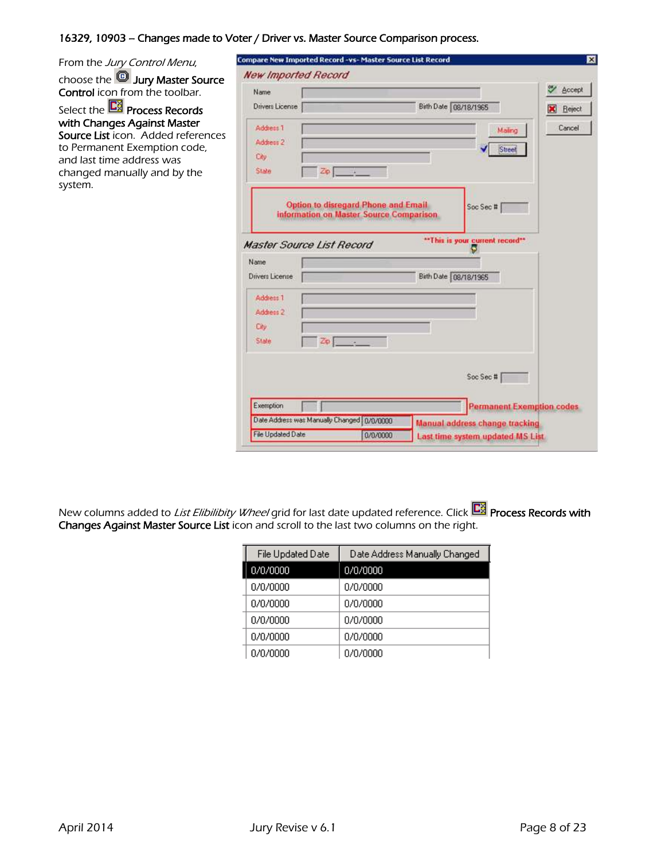## 16329, 10903 – Changes made to Voter / Driver vs. Master Source Comparison process.

| From the Jury Control Menu,                                                                                                                                              | Compare New Imported Record -vs- Master Source List Record                                                                                                                     | ×      |
|--------------------------------------------------------------------------------------------------------------------------------------------------------------------------|--------------------------------------------------------------------------------------------------------------------------------------------------------------------------------|--------|
| choose the <b>D</b> Jury Master Source                                                                                                                                   | <b>New Imported Record</b>                                                                                                                                                     |        |
| <b>Control</b> icon from the toolbar.                                                                                                                                    | Name                                                                                                                                                                           | Accept |
| Select the <b>C3</b> Process Records                                                                                                                                     | Birth Date 08/18/1965<br>Drivers License                                                                                                                                       | Reject |
| with Changes Against Master<br>Source List icon. Added references<br>to Permanent Exemption code,<br>and last time address was<br>changed manually and by the<br>system. | Address 1<br>Mailing<br>Address 2<br>Street<br>City<br>Zo   1<br>State<br><b>Option to disregard Phone and Email</b>                                                           | Cancel |
|                                                                                                                                                                          | Soc Sec #<br>information on Master Source Comparison.<br>"This is your current record"<br><b>Master Source List Record</b><br>Name<br>Birth Date 08/18/1965<br>Drivers License |        |
|                                                                                                                                                                          | Address 1<br>Address 2<br>City.<br>$Z_{\rm D}$<br>State                                                                                                                        |        |
|                                                                                                                                                                          | Soc Sec #                                                                                                                                                                      |        |
|                                                                                                                                                                          | Exemption<br><b>Permanent Exemption codes</b>                                                                                                                                  |        |
|                                                                                                                                                                          | Date Address was Manually Changed   0/0/0000<br><b>Manual address change tracking</b><br>File Updated Date<br>0/0/0000<br>Last time system updated MS List                     |        |

New columns added to *List Elibilibity Wheel* grid for last date updated reference. Click Polick Proc**ess Records with** Changes Against Master Source List icon and scroll to the last two columns on the right.

| File Updated Date | Date Address Manually Changed |
|-------------------|-------------------------------|
| 0/0/0000          | 0/0/0000                      |
| 0/0/0000          | 0/0/0000                      |
| 0/0/0000          | 0/0/0000                      |
| 0/0/0000          | 0/0/0000                      |
| 0/0/0000          | 0/0/0000                      |
| 0/0/0000          | 0/0/0000                      |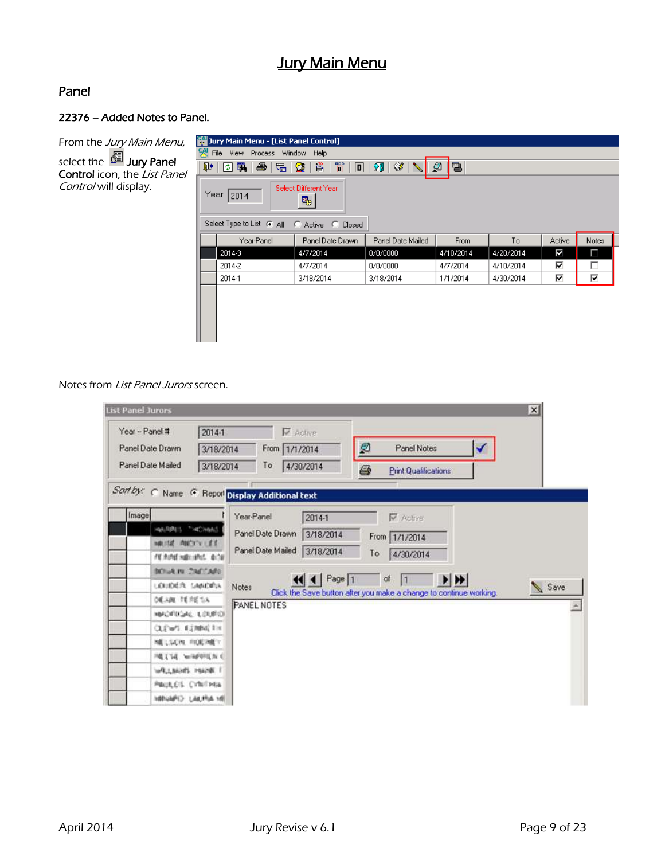## **Jury Main Menu**

## Panel

## 22376 – Added Notes to Panel.

From the Jury Main Menu, select the <sup>199</sup> Jury Panel Control icon, the List Panel Control will display.

| Jury Main Menu - [List Panel Control]<br>옛<br>File View Process<br>Window<br><b>Help</b><br>ø<br>間<br>$\mathbb{F} \otimes \mathbb{R}$<br>昌<br>IB.<br>$\mathbf{P}$<br>4<br>唱像<br>$\boxed{D}$<br>$\blacksquare$ to the $\blacksquare$<br>Select Different Year<br>Year<br>12014<br>吗<br>Select Type to List @ All @ Active @ Closed |            |                  |                   |           |           |                           |       |
|-----------------------------------------------------------------------------------------------------------------------------------------------------------------------------------------------------------------------------------------------------------------------------------------------------------------------------------|------------|------------------|-------------------|-----------|-----------|---------------------------|-------|
|                                                                                                                                                                                                                                                                                                                                   | Year-Panel | Panel Date Drawn | Panel Date Mailed | From      | To        | Active                    | Notes |
|                                                                                                                                                                                                                                                                                                                                   | 2014-3     | 4/7/2014         | 0/0/0000          | 4/10/2014 | 4/20/2014 | $\overline{\blacksquare}$ | П     |
|                                                                                                                                                                                                                                                                                                                                   | 2014-2     | 4/7/2014         | 0/0/0000          | 4/7/2014  | 4/10/2014 | ⊽                         | г     |
|                                                                                                                                                                                                                                                                                                                                   | 2014-1     | 3/18/2014        | 3/18/2014         | 1/1/2014  | 4/30/2014 | ⊽                         | ⊽     |
|                                                                                                                                                                                                                                                                                                                                   |            |                  |                   |           |           |                           |       |

Notes from List Panel Jurors screen.

| List Panel Jurors                                                                                                                                                                                                                                                                                                      |                                                                                                                                           |                                                                                                                                                       | $\vert x \vert$ |
|------------------------------------------------------------------------------------------------------------------------------------------------------------------------------------------------------------------------------------------------------------------------------------------------------------------------|-------------------------------------------------------------------------------------------------------------------------------------------|-------------------------------------------------------------------------------------------------------------------------------------------------------|-----------------|
| Year -- Panel #<br>$2014-1$<br>Panel Date Drawn<br>3/18/2014<br>Panel Date Mailed<br>3/18/2014                                                                                                                                                                                                                         | <b>V</b> Active<br>From 1/1/2014<br>4/30/2014<br>To                                                                                       | Q<br>Panel Notes<br>✓<br>6<br><b>Print Qualifications</b>                                                                                             |                 |
| Sort by: C Name C Report Display Additional text                                                                                                                                                                                                                                                                       |                                                                                                                                           |                                                                                                                                                       |                 |
| Image<br>HALRAIS "HONNA'S<br><b>HOLIDAY ANCHOR LES</b><br>FW monet waterstreet. decise<br><b>INDIA IN CALCARD</b><br><b>JOURNER LANDERS</b><br>調調 用調話<br>HOROFINGAL LOURICH<br>CLEWS: EEMBE FIX<br>NELSON RODAEY<br>PRESTABLING REPORTED AT A<br>WELLMARK POUNDE I<br><b>PAULES CYNTHIA</b><br><b>IN AIRIUS CHANNI</b> | Year-Panel<br>$2014-1$<br>Panel Date Drawn<br>3/18/2014<br>Panel Date Mailed<br>3/18/2014<br>Page 1<br><b>Notes</b><br><b>PANEL NOTES</b> | <b>V</b> Active<br>From 1/1/2014<br>To<br>4/30/2014<br>$\rightarrow$<br>of<br>Ħ<br>Click the Save button after you make a change to continue working. | Save            |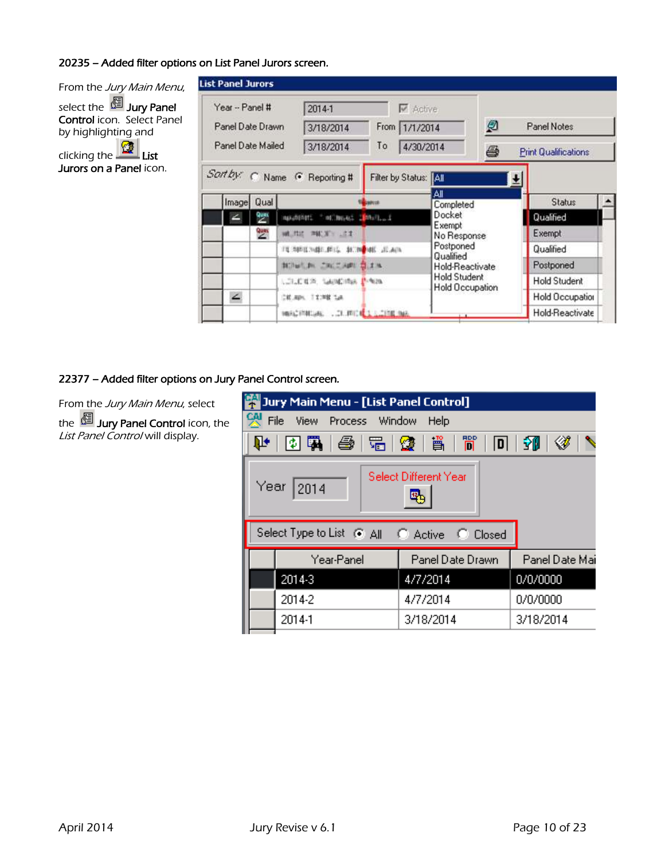## 20235 – Added filter options on List Panel Jurors screen.

From the Jury Main Menu, select the <sup>199</sup> Jury Panel Control icon. Select Panel by highlighting and clicking the  $L$ ist **Jurors on a Panel** icon.

| Year - Panel #                                                  |      | 2014-1                        |               | <b>V</b> Active       |                                               |                             |                     |             |
|-----------------------------------------------------------------|------|-------------------------------|---------------|-----------------------|-----------------------------------------------|-----------------------------|---------------------|-------------|
| Panel Date Drawn<br>3/18/2014<br>Panel Date Mailed<br>3/18/2014 |      |                               |               |                       | From 1/1/2014                                 |                             | ø                   | Panel Notes |
|                                                                 |      | To                            | 4/30/2014     |                       | ê                                             | <b>Print Qualifications</b> |                     |             |
|                                                                 |      | Sart by: C Name G Reporting # |               | Filter by Status: [A] |                                               |                             |                     |             |
| Image                                                           | Qual |                               | <b>JANUAR</b> |                       | Αll<br>Completed                              |                             | <b>Status</b>       |             |
|                                                                 | 鬯    | HANDERSTE METHOLASE 2         | <b>Mail</b>   |                       | Docket                                        |                             | Qualified           |             |
|                                                                 | 豐    | 网络共同 用机面包 法定                  |               |                       | Exempt<br>No Response                         |                             | Exempt              |             |
|                                                                 |      | FERRICHALLED, NON HE JEAN     |               |                       | Postponed<br>Qualified                        |                             | Qualified           |             |
|                                                                 |      | <b>BUILD CRETARE SEA</b>      |               |                       | Hold-Reactivate                               |                             | Postponed           |             |
|                                                                 |      | LOLD BOX, SAUMORA INNOVA      |               |                       | <b>Hold Student</b><br><b>Hold Occupation</b> |                             | <b>Hold Student</b> |             |
| ∠                                                               |      | CRUBBS, TX198 Tue             |               |                       |                                               |                             | Hold Occupation     |             |
|                                                                 |      |                               |               |                       |                                               |                             |                     |             |

## 22377 – Added filter options on Jury Panel Control screen.

From the Jury Main Menu, select the **DE Jury Panel Control** icon, the List Panel Control will display.

|   | Jury Main Menu - [List Panel Control]                     |                  |                |  |  |  |  |  |
|---|-----------------------------------------------------------|------------------|----------------|--|--|--|--|--|
| 옛 | File<br>View Process Window<br>Help                       |                  |                |  |  |  |  |  |
|   | 間<br> [5][磷  425  158  158  158 <br>⋘<br>ՄԻ Ե<br>ÎЮ<br> D |                  |                |  |  |  |  |  |
|   | Select Different Year<br>Year<br>2014                     |                  |                |  |  |  |  |  |
|   | Select Type to List @ All @ Active @ Closed               |                  |                |  |  |  |  |  |
|   | Year-Panel                                                | Panel Date Drawn | Panel Date Mai |  |  |  |  |  |
|   | 2014-3                                                    | 4/7/2014         | 0/0/0000       |  |  |  |  |  |
|   | 2014-2                                                    | 4/7/2014         | 0/0/0000       |  |  |  |  |  |
|   | 2014-1                                                    | 3/18/2014        | 3/18/2014      |  |  |  |  |  |
|   |                                                           |                  |                |  |  |  |  |  |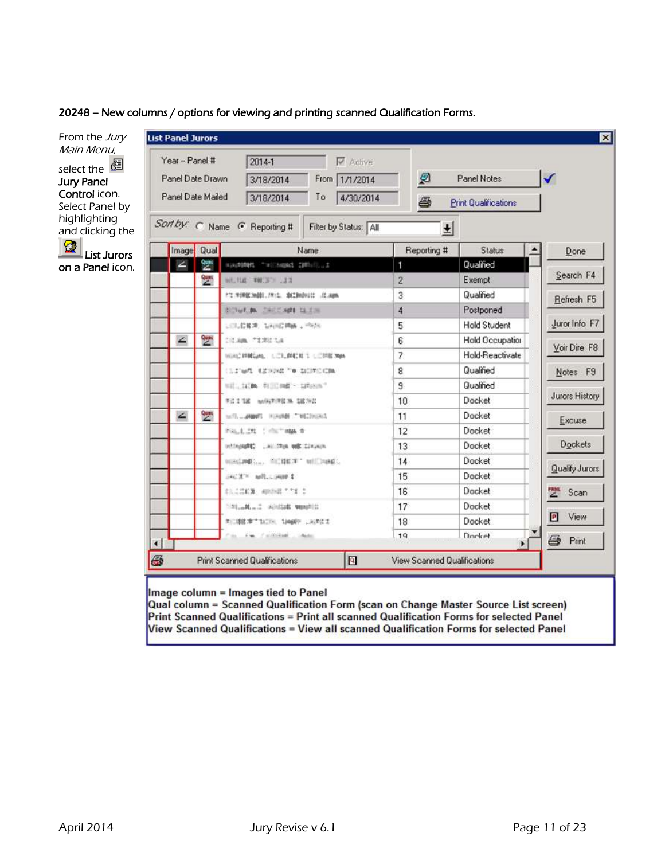20248 – New columns / options for viewing and printing scanned Qualification Forms.



## Image column = Images tied to Panel

Qual column = Scanned Qualification Form (scan on Change Master Source List screen) Print Scanned Qualifications = Print all scanned Qualification Forms for selected Panel View Scanned Qualifications = View all scanned Qualification Forms for selected Panel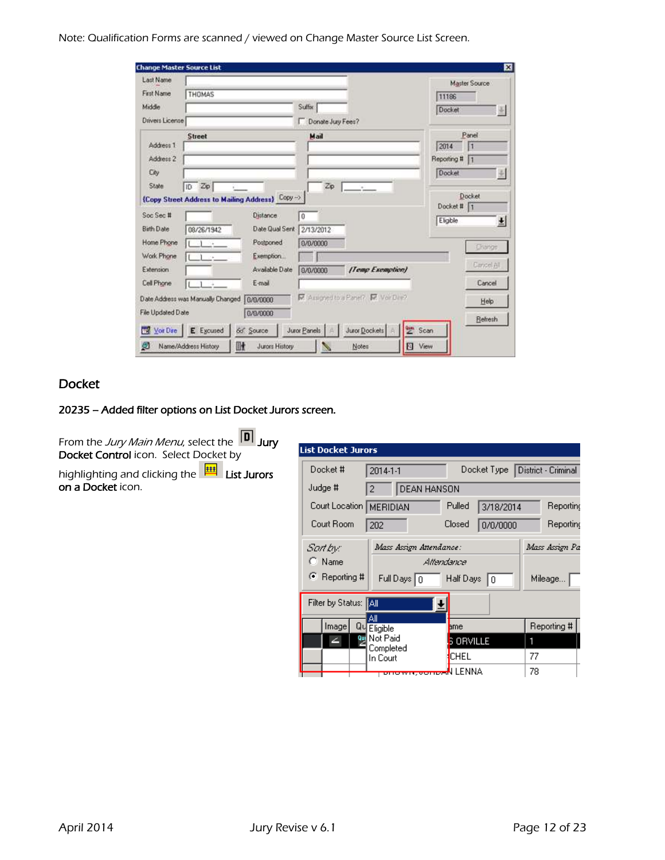Note: Qualification Forms are scanned / viewed on Change Master Source List Screen.

| Last Name                                                                                                        |                                   |                                                  |                     |                                      |             | Master Source       |
|------------------------------------------------------------------------------------------------------------------|-----------------------------------|--------------------------------------------------|---------------------|--------------------------------------|-------------|---------------------|
| First Name                                                                                                       | THOMAS                            |                                                  |                     |                                      | 11186       |                     |
| Middle                                                                                                           |                                   |                                                  | Suffix              |                                      | Docket      |                     |
| Drivers License                                                                                                  |                                   |                                                  | Donate Jury Fees?   |                                      |             |                     |
|                                                                                                                  | Street                            |                                                  | Mail                |                                      |             | Panel               |
| Address 1                                                                                                        |                                   |                                                  |                     |                                      | 2014        | Ħ                   |
| Address 2                                                                                                        |                                   |                                                  |                     |                                      | Reporting # | n                   |
| City                                                                                                             |                                   |                                                  |                     |                                      | Docket      | ÷                   |
| State                                                                                                            | ID Zip                            |                                                  | Zip                 | $\sim$                               |             |                     |
|                                                                                                                  |                                   | {Copy Street Address to Mailing Address} Copy -> |                     |                                      |             | <b>Docket</b>       |
|                                                                                                                  |                                   |                                                  |                     |                                      |             |                     |
|                                                                                                                  |                                   |                                                  |                     |                                      | Docket # 1  |                     |
|                                                                                                                  |                                   | Distance                                         | $\ddot{\mathbf{0}}$ |                                      | Eligible    |                     |
|                                                                                                                  | 08/26/1942                        | Date Qual Sent                                   | 2/13/2012           |                                      |             |                     |
|                                                                                                                  | - 1<br>$-14$                      | Postponed                                        | 0/0/0000            |                                      |             | <b>Change</b>       |
|                                                                                                                  | 104                               | Exemption                                        |                     |                                      |             |                     |
|                                                                                                                  |                                   | Available Date                                   | 8/0/0000            | [Temp Exemption]                     |             | Cancel All          |
|                                                                                                                  | ÷                                 | E-mail                                           |                     |                                      |             | Cancel              |
|                                                                                                                  | Date Address was Manually Changed | 0/0/0000                                         |                     | M. Assigned to a Panel? M. Vor Dire? |             | Help                |
|                                                                                                                  |                                   | 0/0/0000                                         |                     |                                      |             |                     |
| Soc Sec #<br>Birth Date<br>Home Phone<br>Work Phone<br>Extension.<br>Cell Phone<br>File Updated Date<br>Vor Dire | E Excused                         | 6d Source                                        | Juror Panels        | <b>Sept</b><br>Juror Dockets         | Scan        | 뇌<br><b>Retresh</b> |

## Docket

## 20235 – Added filter options on List Docket Jurors screen.

From the *Jury Main Menu*, select the <sup>Tu</sup>l **Jury** Docket Control icon. Select Docket by

highlighting and clicking the **FINAL List Jurors on a Docket** icon.

| <b>List Docket Jurors</b>     |                                 |                       |                     |  |  |  |
|-------------------------------|---------------------------------|-----------------------|---------------------|--|--|--|
| Docket #                      | 2014-1-1                        | Docket Type           | District - Criminal |  |  |  |
| Judge #                       | DEAN HANSON<br>$\overline{2}$   |                       |                     |  |  |  |
| Court Location   MERIDIAN     |                                 | Pulled<br>3/18/2014   | Reporting           |  |  |  |
| Court Room                    | 202                             | Closed<br>0/0/0000    | Reporting           |  |  |  |
| Sartbyc                       | Mass Assign Attendance:         |                       | Mass Assign Pa      |  |  |  |
| $\bigcap$ Name                |                                 | Alfendance            |                     |  |  |  |
| C Reporting #                 | Full Days $\boxed{0}$           | Half Days $\boxed{0}$ | Mileage             |  |  |  |
| Filter by Status: <b>[All</b> |                                 |                       |                     |  |  |  |
| Image<br>Qu                   | Αll<br>Eligible                 | ame                   | Reporting #         |  |  |  |
| 乮<br>∠                        | Not Paid                        | <b>S ORVILLE</b>      | 1                   |  |  |  |
|                               | Completed<br>In Court           | <b>CHEL</b>           | 77                  |  |  |  |
|                               | <del>onown,oono.(</del> N LENNA |                       | 78                  |  |  |  |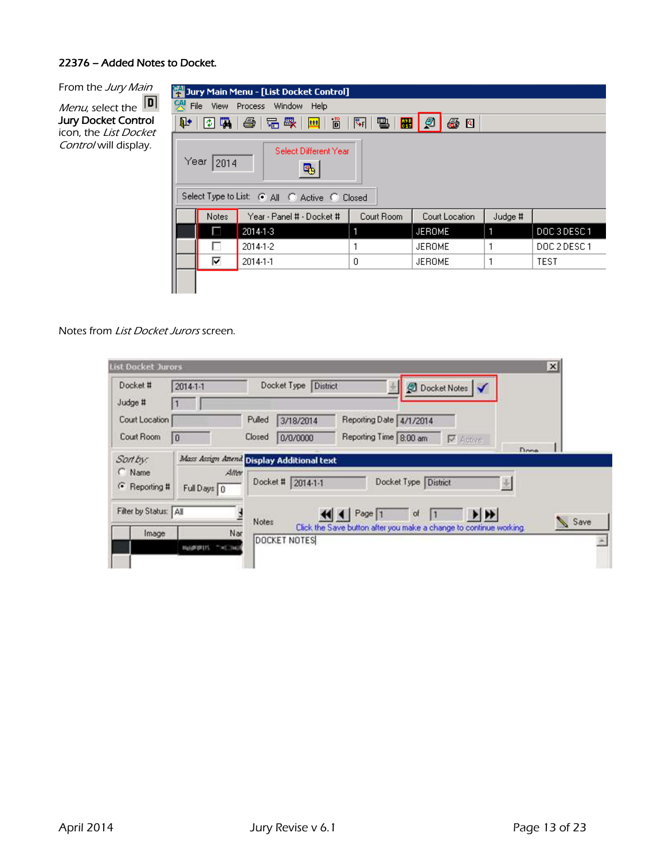## 22376 – Added Notes to Docket.

From the Jury Main Menu, select the Jury Docket Control icon, the *List Docket* Control will display.

|   |              | Jury Main Menu - [List Docket Control]                                     |                        |                |         |              |
|---|--------------|----------------------------------------------------------------------------|------------------------|----------------|---------|--------------|
| 옛 |              | File View Process Window<br>Help                                           |                        |                |         |              |
| ℙ | 图刷           | ■■■■<br> 唱 曝   <br>16                                                      | 태 팀 <br>$\blacksquare$ | @<br>母日        |         |              |
|   | Year<br>2014 | Select Different Year<br>吗<br>Select Type to List: @ All @ Active @ Closed |                        |                |         |              |
|   | Notes        | Year - Panel # - Docket #                                                  | Court Room             | Court Location | Judge # |              |
|   | ш            | 2014-1-3                                                                   | 1                      | <b>JEROME</b>  | 1       | DOC3DESC1    |
|   |              | 2014-1-2                                                                   |                        | <b>JEROME</b>  |         | DOC 2 DESC 1 |
|   | ⊽            | 2014-1-1                                                                   | 0                      | <b>JEROME</b>  |         | <b>TEST</b>  |
|   |              |                                                                            |                        |                |         |              |

Notes from List Docket Jurors screen.

| Docket #<br>Judge #                 | $2014 - 1 - 1$                              | Docket Type<br>District<br><b>Docket Notes</b>                                                                                                             |      |
|-------------------------------------|---------------------------------------------|------------------------------------------------------------------------------------------------------------------------------------------------------------|------|
| Court Location<br>Court Room        | 0                                           | Reporting Date 4/1/2014<br>Pulled<br>3/18/2014<br>Closed<br>Reporting Time 8:00 am<br>0/0/0000<br>V Active                                                 |      |
| Sort by:<br>C Name<br>← Reporting # | Alter                                       | Done<br>Mass Assign Attend Display Additional text<br>Docket Type District<br>Docket # 2014-1-1                                                            |      |
| Filter by Status: All<br>Image      | Full Days 0<br>Nar<br><b>Wallengton (F)</b> | $\blacktriangleright$ $\blacktriangleright$<br>Page 1<br>of<br>Notes<br>Click the Save button after you make a change to continue working.<br>DOCKET NOTES | Save |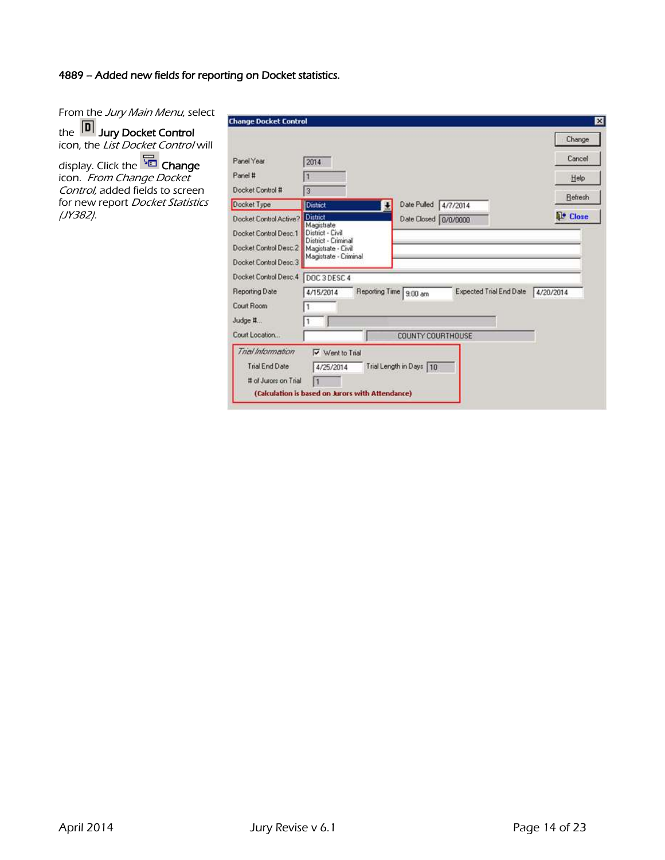## 4889 – Added new fields for reporting on Docket statistics.

From the Jury Main Menu, select the I<sup>ur</sup>l **Jury Docket Control** icon, the *List Docket Control* will display. Click the **Full Change** icon. From Change Docket Control, added fields to screen for new report Docket Statistics

(JY382).

| <b>Change Docket Control</b> |                                                  |                                                   | Change           |
|------------------------------|--------------------------------------------------|---------------------------------------------------|------------------|
| Panel Year                   | 2014                                             |                                                   | Cancel           |
| Panel #                      |                                                  |                                                   | Help             |
| Docket Control #             | $\overline{3}$                                   |                                                   | <b>Refresh</b>   |
| Docket Type                  | District                                         | Date Pulled 4/7/2014<br>æ                         |                  |
| Docket Control Active?       | <b>District</b>                                  | Date Closed 0/0/0000                              | <b>IL! Close</b> |
| Docket Control Desc.1        | Magistrate<br>District - Civil                   |                                                   |                  |
| Docket Control Desc.2        | District - Criminal<br>Magistrate - Civil        |                                                   |                  |
| Docket Control Desc. 3       | Magistrate - Criminal                            |                                                   |                  |
| Docket Control Desc. 4       | DOC3DESC4                                        |                                                   |                  |
| <b>Reporting Date</b>        | 4/15/2014                                        | Reporting Time 9.00 am<br>Expected Trial End Date | 4/20/2014        |
| Court Room                   |                                                  |                                                   |                  |
| Judge #                      |                                                  |                                                   |                  |
| Court Location               |                                                  | COUNTY COURTHOUSE                                 |                  |
| Trial Information            | V Went to Trial                                  |                                                   |                  |
| Trial End Date               | 4/25/2014                                        | Trial Length in Days 10                           |                  |
| # of Jurors on Trial         |                                                  |                                                   |                  |
|                              | (Calculation is based on Jurors with Attendance) |                                                   |                  |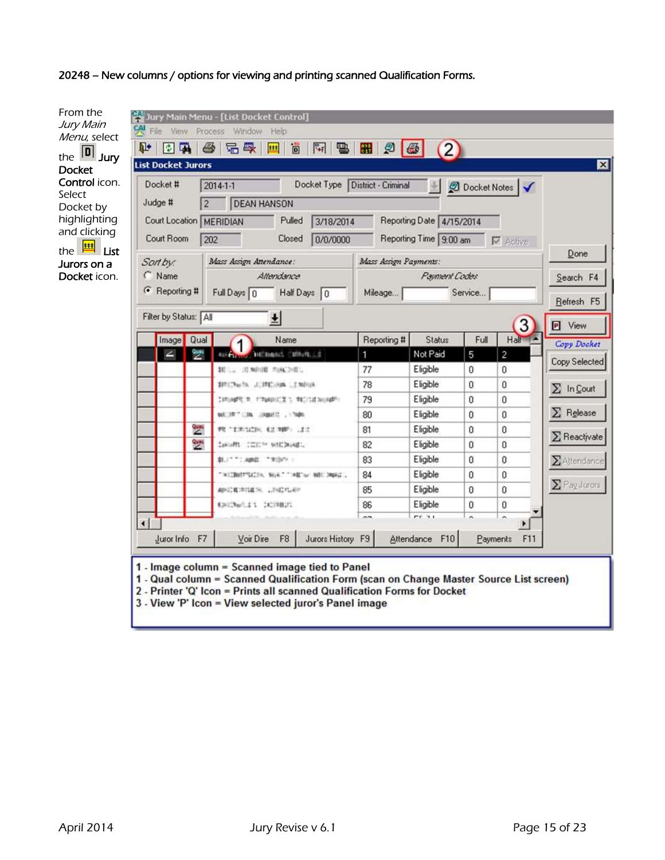20248 – New columns / options for viewing and printing scanned Qualification Forms.

| From the<br>Jury Main<br>Menu, select<br>$\boxed{\mathbf{D}}$ Jury<br>the                                                                | File View Process Window<br>ū.<br>同国                                                                                                | Jury Main Menu - [List Docket Control]<br>Help<br>&<br>品感<br>Ö<br>$\mathcal{C}$<br>명<br>ままま                                                                                                                                                                                    | 田の品                   | (2)                                                                        |              |                                 |                        |
|------------------------------------------------------------------------------------------------------------------------------------------|-------------------------------------------------------------------------------------------------------------------------------------|--------------------------------------------------------------------------------------------------------------------------------------------------------------------------------------------------------------------------------------------------------------------------------|-----------------------|----------------------------------------------------------------------------|--------------|---------------------------------|------------------------|
| <b>Docket</b><br>Control icon.<br>Select<br>Docket by<br>highlighting<br>and clicking<br>魅<br>List<br>the<br>Jurors on a<br>Docket icon. | <b>List Docket Jurors</b><br>Docket #<br>Judge #<br>$\overline{2}$<br>Court Location   MERIDIAN<br>Court Room<br>Sort by:<br>C Name | Docket Type District - Criminal<br>2014-1-1<br><b>DEAN HANSON</b><br>Pulled<br>3/18/2014<br>202<br>0/0/0000<br>Closed<br>Mass Assign Attendance:<br>Attendance                                                                                                                 | Mass Assign Payments: | Reporting Date 4/15/2014<br>Reporting Time 9:00 am<br><b>Payment Codes</b> |              | Docket Notes<br><b>V</b> Active | ⊠<br>Done<br>Search F4 |
|                                                                                                                                          | ← Reporting #                                                                                                                       | Half Days 0<br>Full Days 0                                                                                                                                                                                                                                                     | Mileage               |                                                                            | Service      |                                 | Refresh F5             |
|                                                                                                                                          | Filter by Status: All                                                                                                               | 뇌                                                                                                                                                                                                                                                                              |                       |                                                                            |              | 3                               | <b>P</b> View          |
|                                                                                                                                          | Image Qual                                                                                                                          | Name                                                                                                                                                                                                                                                                           | Reporting #           | <b>Status</b>                                                              | Full         | Half                            | Copy Docket            |
|                                                                                                                                          | ١Ť                                                                                                                                  | <b>DIEDMAG, CERVILLE</b><br><b>Bill Change</b>                                                                                                                                                                                                                                 | 1                     | Not Paid                                                                   | 5            | $\overline{c}$                  | Copy Selected          |
|                                                                                                                                          |                                                                                                                                     |                                                                                                                                                                                                                                                                                | 77                    | Eligible                                                                   | $\mathbf{0}$ | $\mathbf{0}$                    |                        |
|                                                                                                                                          |                                                                                                                                     | \$950 hails, JUPELES, LENDIS                                                                                                                                                                                                                                                   | 78                    | Eligible                                                                   | 0            | $\mathbf{0}$                    | $\Sigma$ In Court      |
|                                                                                                                                          |                                                                                                                                     | DRUMPER, TRAINIER'S RESERVING.                                                                                                                                                                                                                                                 | 79                    | Eligible                                                                   | ū            | 0                               | $\Sigma$ Release       |
|                                                                                                                                          |                                                                                                                                     | outlith? clm. import: . Young                                                                                                                                                                                                                                                  | 80                    | Eligible                                                                   | 0            | $\mathbf{0}$                    |                        |
|                                                                                                                                          | ques<br>2                                                                                                                           | PETERISEN, EZ NIP: 122                                                                                                                                                                                                                                                         | 81                    | Eligible                                                                   | o            | 0                               | $\Sigma$ Reactivate    |
|                                                                                                                                          | $\frac{q_{\text{max}}}{2}$                                                                                                          | SANIARS CITES NATIONALS                                                                                                                                                                                                                                                        | 82                    | Eligible                                                                   | ū            | 0                               |                        |
|                                                                                                                                          |                                                                                                                                     | \$1.1" "! April " "Hilt" :                                                                                                                                                                                                                                                     | 83                    | Eligible                                                                   | $\Omega$     | $\mathbf 0$                     | $\Sigma$ Altendance    |
|                                                                                                                                          |                                                                                                                                     | "WEBSTREET, WAT "WE'N WHIPMAL.                                                                                                                                                                                                                                                 | 84                    | Eligible                                                                   | ū            | 0                               | $\Sigma$ Pay Jurors.   |
|                                                                                                                                          |                                                                                                                                     | APERMISS LINEAR                                                                                                                                                                                                                                                                | 85                    | Eligible                                                                   | O            | Ü                               |                        |
|                                                                                                                                          |                                                                                                                                     | EDUCANTLE 1 DETAILED                                                                                                                                                                                                                                                           | 86                    | Eligible                                                                   | 0            | 0                               |                        |
|                                                                                                                                          | $\left  \cdot \right $                                                                                                              |                                                                                                                                                                                                                                                                                | $\sim$                | $r + 41$                                                                   |              | $\overline{ }$<br>٠             |                        |
|                                                                                                                                          | F7<br>Juror Info                                                                                                                    | Jurors History F9<br>Voir Dire<br>F <sub>8</sub>                                                                                                                                                                                                                               |                       | Attendance F10                                                             | Payments     | F11                             |                        |
|                                                                                                                                          |                                                                                                                                     |                                                                                                                                                                                                                                                                                |                       |                                                                            |              |                                 |                        |
|                                                                                                                                          |                                                                                                                                     | 1 - Image column = Scanned image tied to Panel<br>1 - Qual column = Scanned Qualification Form (scan on Change Master Source List screen)<br>2 - Printer 'Q' Icon = Prints all scanned Qualification Forms for Docket<br>3 - View 'P' Icon = View selected juror's Panel image |                       |                                                                            |              |                                 |                        |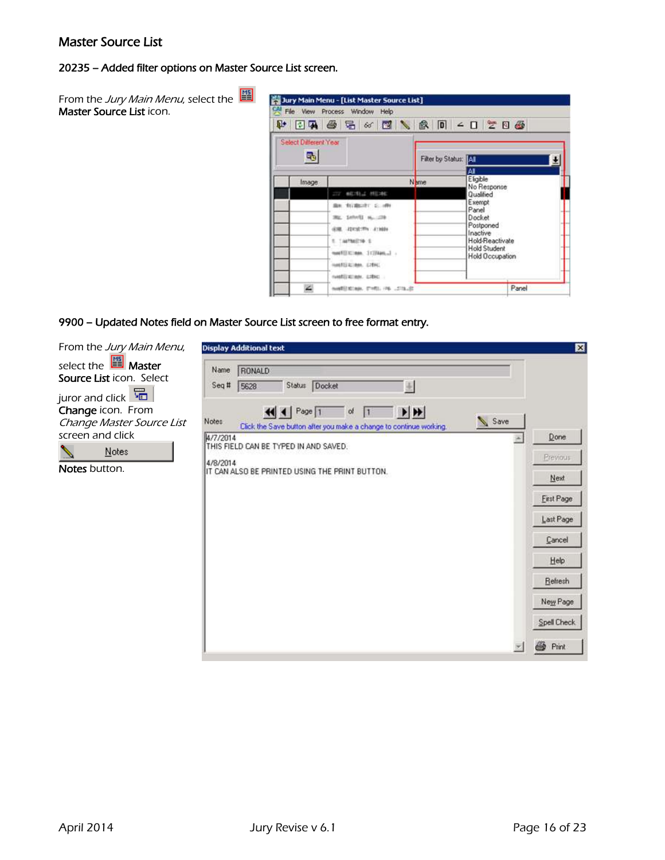## Master Source List

## 20235 – Added filter options on Master Source List screen.

| From the <i>Jury Main Menu</i> , select the 별<br><b>Master Source List</b> icon. | ₽                                     | <b>i Jury Main Menu - [List Master Source List]</b><br>CAI File View Process Window Help<br>04 6 5 6 6 7 8 0 - 0 2 8 6 |                      |                                        |  |
|----------------------------------------------------------------------------------|---------------------------------------|------------------------------------------------------------------------------------------------------------------------|----------------------|----------------------------------------|--|
|                                                                                  | Select Different Year<br>$\mathbb{R}$ |                                                                                                                        | Filter by Status: AT | ΙAΙ                                    |  |
|                                                                                  | Image                                 |                                                                                                                        | N <sub>ame</sub>     | Eligible<br>No Response                |  |
|                                                                                  |                                       | <b>277 METALS METAL</b>                                                                                                |                      | Qualified<br>Exempt                    |  |
|                                                                                  |                                       | Box \$57,000 PC \$1.100 F                                                                                              |                      | Panel                                  |  |
|                                                                                  |                                       | <b>BE SHARE ALLOW</b>                                                                                                  |                      | Docket                                 |  |
|                                                                                  |                                       | 498. 22193791 213004                                                                                                   |                      | Postponed<br>Inactive                  |  |
|                                                                                  |                                       | TAHTMETA 1                                                                                                             |                      | Hold-Reactivate                        |  |
|                                                                                  |                                       | meetilischen. 1129am.2 -                                                                                               |                      | <b>Hold Student</b><br>Hold Occupation |  |
|                                                                                  |                                       | neets) alleen. Little:                                                                                                 |                      |                                        |  |

۷

wellington, crisis

NOTES OF CHECK HE CAN BE

## 9900 – Updated Notes field on Master Source List screen to free format entry.

| From the Jury Main Menu,                                                                          | <b>Display Additional text</b>                                                                                                         | 図                 |
|---------------------------------------------------------------------------------------------------|----------------------------------------------------------------------------------------------------------------------------------------|-------------------|
| select the <b>E</b> Master<br>Source List icon. Select<br>juror and click $\overline{\mathbb{G}}$ | RONALD<br>Name<br>Docket<br>5628<br>Seq#<br>Status<br>亚                                                                                |                   |
| Change icon. From<br>Change Master Source List                                                    | $\frac{1}{2}$<br>$\left  \right $ Page 1<br>of<br>Save<br>Notes:<br>Click the Save button after you make a change to continue working. |                   |
| screen and click                                                                                  | 4/7/2014<br>THIS FIELD CAN BE TYPED IN AND SAVED.                                                                                      | Done              |
| Notes                                                                                             | 4/8/2014                                                                                                                               | Previous          |
| <b>Notes</b> button.                                                                              | IT CAN ALSO BE PRINTED USING THE PRINT BUTTON.                                                                                         | Next              |
|                                                                                                   |                                                                                                                                        | <b>Eirst Page</b> |
|                                                                                                   |                                                                                                                                        | Last Page         |
|                                                                                                   |                                                                                                                                        | Cancel            |
|                                                                                                   |                                                                                                                                        | Help              |
|                                                                                                   |                                                                                                                                        | Refresh           |
|                                                                                                   |                                                                                                                                        | New Page          |
|                                                                                                   |                                                                                                                                        | Spell Check       |
|                                                                                                   |                                                                                                                                        | 6<br>Print        |

Panel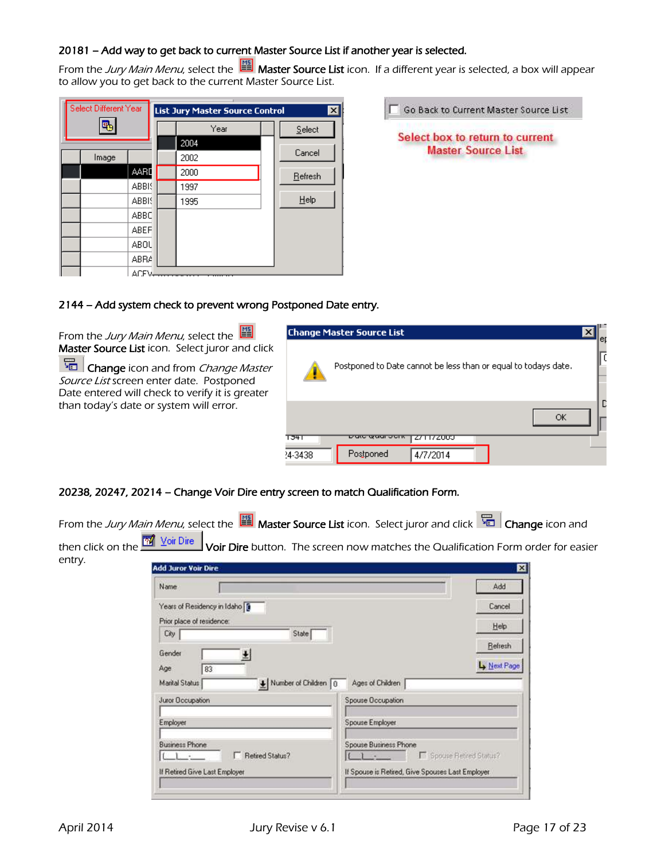## 20181 – Add way to get back to current Master Source List if another year is selected.

From the Jury Main Menu, select the  $\Box$  Master Source List icon. If a different year is selected, a box will appear to allow you to get back to the current Master Source List.

| Select Different Year |             | <b>List Jury Master Source Control</b> | $\vert x \vert$ |
|-----------------------|-------------|----------------------------------------|-----------------|
|                       |             | Year                                   | Select          |
|                       |             | 2004                                   |                 |
| Image                 |             | 2002                                   | Cancel          |
|                       | AARD        | 2000                                   | Refresh         |
|                       | ABBIS       | 1997                                   |                 |
|                       | ABBIS       | 1995                                   | Help            |
|                       | ABBC        |                                        |                 |
|                       | <b>ABEF</b> |                                        |                 |
|                       | ABOU        |                                        |                 |
|                       | ABRA        |                                        |                 |
|                       | <b>ACEM</b> |                                        |                 |

| Go Back to Current Master Source List                        |
|--------------------------------------------------------------|
| Select box to return to current<br><b>Master Source List</b> |

## 2144 – Add system check to prevent wrong Postponed Date entry.

From the Jury Main Menu, select the Master Source List icon. Select juror and click

Change icon and from Change Master Source List screen enter date. Postponed Date entered will check to verify it is greater than today's date or system will error.

**Business Phone** 

If Retired Give Last Employer

IL.  $\mathbf{1}$ 



## 20238, 20247, 20214 – Change Voir Dire entry screen to match Qualification Form.

|                             |                                                                  |                      | From the Jury Main Menu, select the $\Box$ Master Source List icon. Select juror and click $\Box$ Change icon and |                                                                                       |
|-----------------------------|------------------------------------------------------------------|----------------------|-------------------------------------------------------------------------------------------------------------------|---------------------------------------------------------------------------------------|
| then click on the<br>entry. | <b>W</b> Voir Dire<br><b>Add Juror Voir Dire</b>                 |                      |                                                                                                                   | Voir Dire button. The screen now matches the Qualification Form order for easier<br>⊠ |
|                             | Name                                                             |                      |                                                                                                                   | Add                                                                                   |
|                             | Years of Residency in Idaho<br>Prior place of residence:<br>City | State                |                                                                                                                   | Cancel<br>Help                                                                        |
|                             | Gender<br>Age<br>83<br>Marital Status                            | Number of Children 0 | Ages of Children                                                                                                  | Refresh<br>Ly Next Page                                                               |
|                             | Juror Occupation                                                 |                      | Spouse Occupation                                                                                                 |                                                                                       |
|                             | Employer                                                         |                      | Spouse Employer                                                                                                   |                                                                                       |

Spouse Business Phone

If Spouse is Retired, Give Spouses Last Employer

IC.

Spouse Retred Status?

F Retired Status?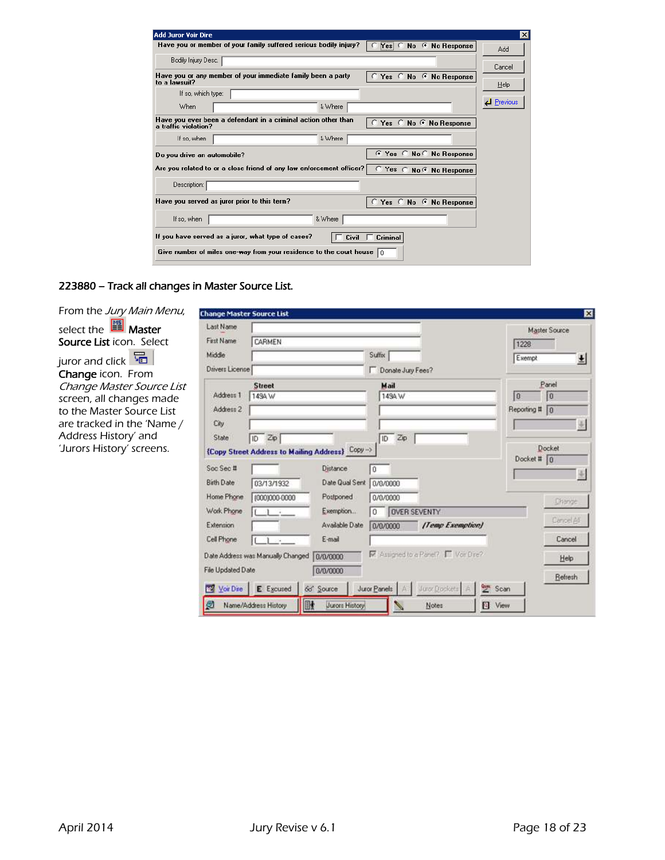| <b>Add Juror Voir Dire</b>                                                                                         | $\vert x \vert$   |
|--------------------------------------------------------------------------------------------------------------------|-------------------|
| Have you or member of your family suffered serious bodily injury?<br>$Yes \nC$<br>No C No Response                 | Add               |
| Bodily Injury Desc.                                                                                                | Cancel            |
| Have you or any member of your immediate family been a party<br>Yes C No C No Response<br>$\circ$<br>In a lawsuit? |                   |
| If so, which type:                                                                                                 | Help              |
| When<br>& Where                                                                                                    | <b>d</b> Previous |
| Have you ever been a defendant in a criminal action other than<br>Yes C No C No Response<br>a traffic violation?   |                   |
| & Where<br>If so, when                                                                                             |                   |
| No C No Response<br>-C<br>G<br>Yes<br>Do you drive an automobile?                                                  |                   |
| Are you related to or a close friend of any law enforcement officer?<br>C Yes C No C No Response                   |                   |
| Description:                                                                                                       |                   |
| Have you served as juror prior to this term?<br>No C No Response<br>Yes $\subset$                                  |                   |
| & Where<br>If so, when                                                                                             |                   |
| If you have served as a juror, what type of cases?<br>Criminal<br>Civil                                            |                   |
| Give number of miles one-way from your residence to the court house<br>l n                                         |                   |

## 223880 – Track all changes in Master Source List.

| From the Jury Main Menu,          | <b>Change Master Source List</b> |                                   |                                                 |                   |                                        |                      | ×             |
|-----------------------------------|----------------------------------|-----------------------------------|-------------------------------------------------|-------------------|----------------------------------------|----------------------|---------------|
| select the $\frac{100}{2}$ Master | Last Name                        |                                   |                                                 |                   |                                        |                      | Master Source |
| <b>Source List icon. Select</b>   | <b>First Name</b>                | CARMEN                            |                                                 |                   |                                        | 1228                 |               |
| 量<br>juror and click              | Middle                           |                                   |                                                 | Suffix            |                                        | Exempt               | 뵈             |
| Change icon. From                 | Drivers License                  |                                   |                                                 | Donate Jury Fees? |                                        |                      |               |
| Change Master Source List         |                                  | <b>Street</b>                     |                                                 | Mail              |                                        |                      | Panel         |
| screen, all changes made          | Address 1                        | 149A W                            |                                                 | 149A W            |                                        | 0                    | 0             |
| to the Master Source List         | Address 2                        |                                   |                                                 |                   |                                        | Reporting # 0        |               |
| are tracked in the 'Name /        | City                             |                                   |                                                 |                   |                                        |                      |               |
| Address History' and              | State                            | $\sqrt{10}$ Zp                    |                                                 | Zp<br>ID.         |                                        |                      |               |
| 'Jurors History' screens.         |                                  |                                   | {Copy Street Address to Mailing Address} Copy-> |                   |                                        |                      | Docket        |
|                                   | Soc Sec #                        |                                   | Distance                                        | O                 |                                        | Docket # $\boxed{0}$ |               |
|                                   | Birth Date                       | 03/13/1932                        | Date Qual Sent 0/0/0000                         |                   |                                        |                      |               |
|                                   | Home Phone                       | (000)000-0000                     | Postponed                                       | 0/0/0000          |                                        |                      |               |
|                                   | Work Phone                       |                                   | Exemption                                       |                   |                                        |                      | Change        |
|                                   |                                  | $\mathbf{1}$                      |                                                 | 0                 | OVER SEVENTY                           |                      | Cancel All    |
|                                   | Extension                        |                                   | Available Date                                  | 0/0/0000          | [Temp Exemption]                       |                      |               |
|                                   | Cell Phone                       | 120                               | E-mail                                          |                   |                                        |                      | Cancel        |
|                                   |                                  | Date Address was Manually Changed | 0/0/0000                                        |                   | Mi Assigned to a Panel? [7] Voir Dire? |                      | Help          |
|                                   | File Updated Date                |                                   | 0/0/0000                                        |                   |                                        |                      |               |
|                                   |                                  |                                   |                                                 |                   | Juror Dockets                          | Scan                 | Refresh       |
|                                   | <b>War Dire</b>                  | E Excused                         | 66 <sup>c</sup> Source                          | Juror Panels      |                                        |                      |               |
|                                   | ø                                | Name/Address History              | BI<br>Jurors History                            |                   | Notes                                  | <b>D</b> View        |               |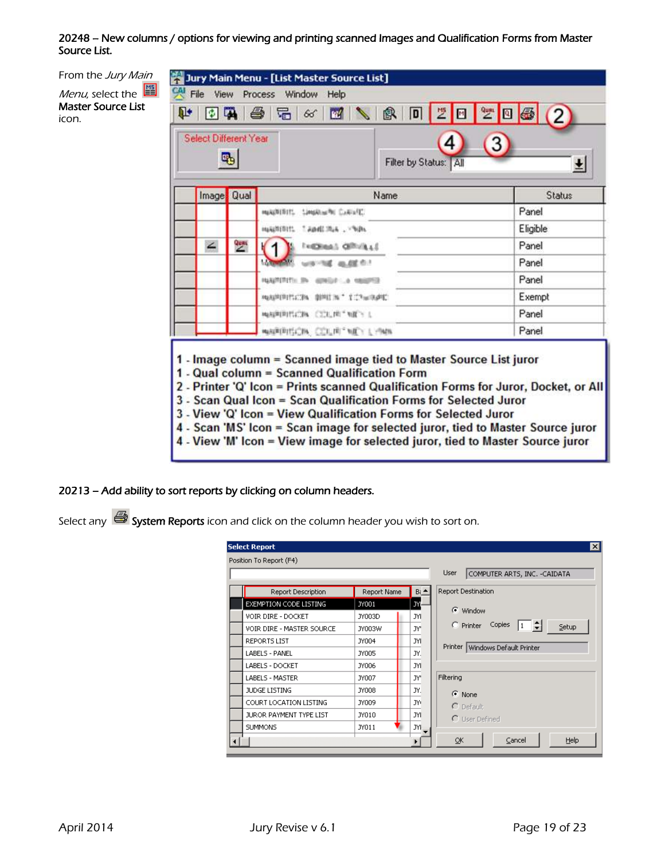## 20248 – New columns / options for viewing and printing scanned Images and Qualification Forms from Master Source List.



- 3 View 'Q' Icon = View Qualification Forms for Selected Juror
- 4 Scan 'MS' Icon = Scan image for selected juror, tied to Master Source juror
- 4 View 'M' Icon = View image for selected juror, tied to Master Source juror

#### 20213 – Add ability to sort reports by clicking on column headers.

Select any  $\bigcirc$  System Reports icon and click on the column header you wish to sort on.

|                           |              |                 | User<br>COMPUTER ARTS, INC. -CAIDATA                        |
|---------------------------|--------------|-----------------|-------------------------------------------------------------|
| Report Description        | Report Name  | $Bi \triangleq$ | Report Destination                                          |
| EXEMPTION CODE LISTING    | JY001        | JY,             |                                                             |
| <b>VOIR DIRE - DOCKET</b> | JY003D       | JYI             | C Window                                                    |
| VOIR DIRE - MASTER SOURCE | JY003W       | JY'             | $\Gamma$ Printer<br>Copies<br>÷<br>$\vert 1 \vert$<br>Setup |
| REPORTS LIST              | JY004        | JYI             |                                                             |
| LABELS - PANEL            | <b>JY005</b> | JY.             | Printer   Windows Default Printer                           |
| LABELS - DOCKET           | JY006        | JYI.            |                                                             |
| LABELS - MASTER           | JY007        | JY'             | Filtering                                                   |
| JUDGE LISTING             | <b>JY008</b> | JY.             | $\odot$ None                                                |
| COURT LOCATION LISTING    | JY009        | JYC             | $\cap$ Default                                              |
| JUROR PAYMENT TYPE LIST   | JY010        | JYI             | C User Defined                                              |
| <b>SUMMONS</b>            | JY011        | JYF             |                                                             |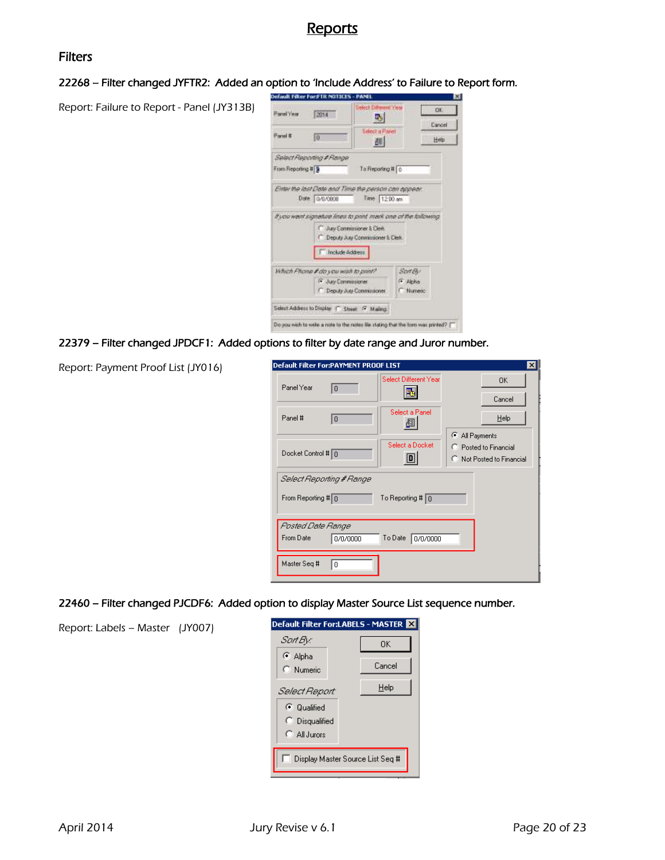## Reports

## Filters

#### 22268 – Filter changed JYFTR2: Added an option to 'Include Address' to Failure to Report form.

Report: Failure to Report - Panel (JY313B)

| <b>Fanel</b> Year  | 2014                                                           | Select Dwerent Year<br>EM.        |           | <b>OK</b> |
|--------------------|----------------------------------------------------------------|-----------------------------------|-----------|-----------|
|                    |                                                                |                                   |           | Cancel    |
| <b>Panel &amp;</b> | Εö                                                             | <b>Select a Panel</b><br>顏        |           | Help      |
|                    | Select Reporting # Range                                       |                                   |           |           |
| From Reporting # 9 |                                                                | To Reporting # 0                  |           |           |
|                    | Enter the last Date and Time the person can appear.            |                                   |           |           |
|                    |                                                                |                                   |           |           |
|                    | Date 0/0/0000                                                  | Time 1200 an                      |           |           |
|                    | If you went signature lines to pont mark one of the tollowing. |                                   |           |           |
|                    | C Jury Commissioner & Clerk                                    | Deputy Jury Commissioner & Clerk: |           |           |
|                    | Include Address                                                |                                   |           |           |
|                    | Which Phone # do you wish to print?                            |                                   | Scat Elv  |           |
|                    | F Juv Commissioner                                             |                                   | (F. Alpha |           |

#### 22379 – Filter changed JPDCF1: Added options to filter by date range and Juror number.

Report: Payment Proof List (JY016)

Report: Labels – Master (JY007)

| Default Filter For:PAYMENT PROOF LIST |                            |                | $\vert x \vert$           |  |  |
|---------------------------------------|----------------------------|----------------|---------------------------|--|--|
| Panel Year<br>$\overline{0}$          | Select Different Year      |                | 0K                        |  |  |
|                                       |                            |                | Cancel                    |  |  |
| Panel #<br>10                         | Select a Panel<br>组        |                | $He$ lp                   |  |  |
|                                       |                            | C All Payments |                           |  |  |
| Docket Control # 0                    | Select a Docket<br>D       |                | C Posted to Financial     |  |  |
|                                       |                            |                | C Not Posted to Financial |  |  |
| Select Reporting # Range              |                            |                |                           |  |  |
| From Reporting # 0                    | To Reporting # $\boxed{0}$ |                |                           |  |  |
|                                       |                            |                |                           |  |  |
| Pasted Date Range                     |                            |                |                           |  |  |
| From Date<br>0/0/0000                 | To Date   0/0/0000         |                |                           |  |  |
| Master Seq #<br>0                     |                            |                |                           |  |  |

22460 – Filter changed PJCDF6: Added option to display Master Source List sequence number.

| Default Filter For:LABELS - MASTER      |  |        |  |  |
|-----------------------------------------|--|--------|--|--|
| Sart By:                                |  | ΩK     |  |  |
| C Alpha<br>C Numeric                    |  | Cancel |  |  |
| Select Report:                          |  | Help   |  |  |
| C Qualified                             |  |        |  |  |
| C Disqualified                          |  |        |  |  |
| C. All Jurors                           |  |        |  |  |
| <b>Display Master Source List Seq #</b> |  |        |  |  |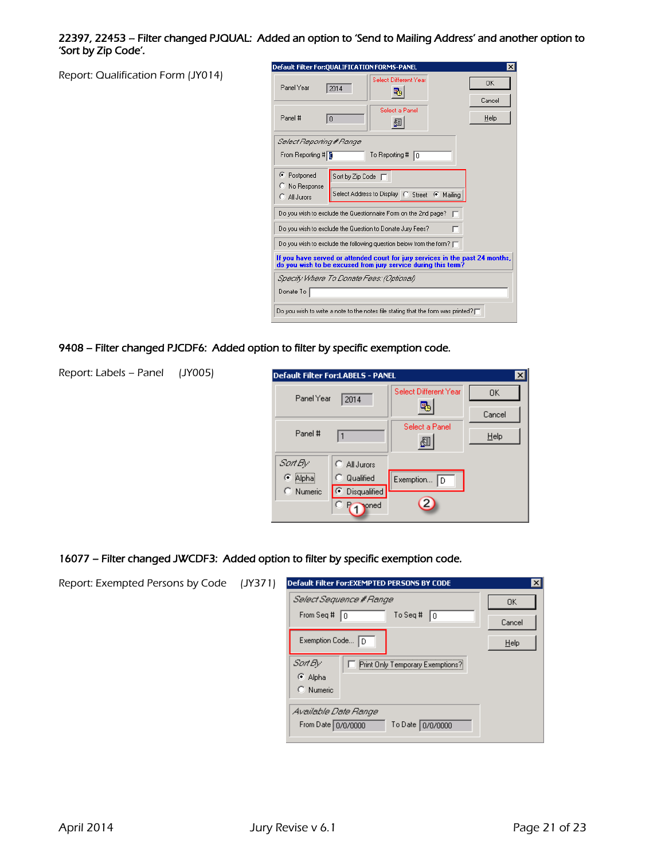#### 22397, 22453 – Filter changed PJQUAL: Added an option to 'Send to Mailing Address' and another option to 'Sort by Zip Code'.

Report: Qualification Form (JY014)

| Default Filter For: QUALIFICATION FORMS-PANEL                |                    |                                                                                                                                                | $\times$            |
|--------------------------------------------------------------|--------------------|------------------------------------------------------------------------------------------------------------------------------------------------|---------------------|
| Panel Year                                                   | 2014               | Select Different Year<br>B.                                                                                                                    | <b>OK</b><br>Cancel |
| Panel #                                                      | $\Omega$           | Select a Panel<br>履                                                                                                                            | Help                |
| Select Reporting # Range                                     |                    |                                                                                                                                                |                     |
| From Reporting # 1                                           |                    | To Reporting #<br>10                                                                                                                           |                     |
| C Postponed<br>$\degree$ No Response<br>$\bigcap$ All Jurors | Sort by Zip Code [ | Select Address to Display C Street C Mailing                                                                                                   |                     |
|                                                              |                    | Do you wish to exclude the Questionnaire Form on the 2nd page?                                                                                 |                     |
|                                                              |                    | Do you wish to exclude the Question to Donate Jury Fees?                                                                                       |                     |
|                                                              |                    | Do you wish to exclude the following question below from the form? $\square$                                                                   |                     |
|                                                              |                    | If you have served or attended court for jury services in the past 24 months,<br>do you wish to be excused from jury service during this term? |                     |
| Specify Where To Donate Fees: (Optional)<br>Donate To        |                    |                                                                                                                                                |                     |
|                                                              |                    | Do you wish to write a note to the notes file stating that the form was printed? $\square$                                                     |                     |

9408 – Filter changed PJCDF6: Added option to filter by specific exemption code.

Report: Labels – Panel (JY005)

| Default Filter For:LABELS - PANEL |                      |                       |        |
|-----------------------------------|----------------------|-----------------------|--------|
| Panel Year                        | 2014                 | Select Different Year | 0K     |
|                                   |                      |                       | Cancel |
| Panel #                           | $\mathbf{1}$         | Select a Panel<br>☝   | Help   |
| Sart By:                          | $\bigcap$ All Jurors |                       |        |
| C Alpha                           | C Qualified          | Exemption $\boxed{D}$ |        |
| C Numeric                         | ⊙ Disqualified       |                       |        |
|                                   | <b>oned</b>          |                       |        |

#### 16077 – Filter changed JWCDF3: Added option to filter by specific exemption code.

Report: Exempted Persons by Code (JY371) Default Filter For:EXEMPTED PERSONS BY CODE Select Sequence # Range 0K From Seq #  $\boxed{0}$ To Seq #  $\boxed{0}$ Cancel Exemption Code... D  $\underline{\mathsf{He}}{}{\mathsf{lp}}$ Sort By: Fint Only Temporary Exemptions? C Alpha  $\bigcirc$  Numeric Available Date Range From Date 0/0/0000 To Date 0/0/0000

 $\overline{\mathbf{z}}$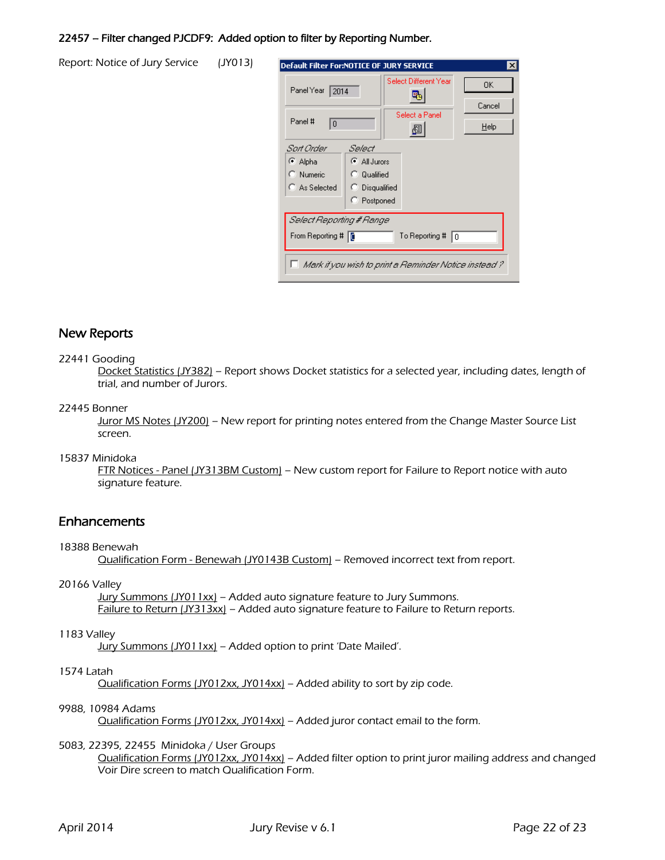#### 22457 – Filter changed PJCDF9: Added option to filter by Reporting Number.

Report: Notice of Jury Service (JY013)

| Default Filter For:NOTICE OF JURY SERVICE                              |                                               |                       | $\times$ |  |
|------------------------------------------------------------------------|-----------------------------------------------|-----------------------|----------|--|
| Panel Year<br>12014                                                    |                                               | Select Different Year | 0K.      |  |
|                                                                        |                                               |                       | Cancel   |  |
| Panel #<br>$\theta$                                                    |                                               | Select a Panel        | HeIp     |  |
| Sart Order<br>⊕ Alpha<br>C Numeric                                     | Select<br>$\bullet$ All Jurors<br>C Qualified |                       |          |  |
| C As Selected                                                          | C Disqualified<br>C Postponed                 |                       |          |  |
| Select Reporting # Range<br>From Reporting #   [<br>To Reporting #   0 |                                               |                       |          |  |
| Mark if you wish to print a Reminder Notice instead ?                  |                                               |                       |          |  |

## New Reports

#### 22441 Gooding

Docket Statistics (JY382) – Report shows Docket statistics for a selected year, including dates, length of trial, and number of Jurors.

#### 22445 Bonner

Juror MS Notes (JY200) – New report for printing notes entered from the Change Master Source List screen.

#### 15837 Minidoka

FTR Notices - Panel (JY313BM Custom) – New custom report for Failure to Report notice with auto signature feature.

## **Enhancements**

#### 18388 Benewah

Qualification Form - Benewah (JY0143B Custom) – Removed incorrect text from report.

#### 20166 Valley

Jury Summons (JY011xx) - Added auto signature feature to Jury Summons. Failure to Return (JY313xx) - Added auto signature feature to Failure to Return reports.

#### 1183 Valley

Jury Summons (JY011xx) - Added option to print 'Date Mailed'.

## 1574 Latah

Qualification Forms (JY012xx, JY014xx) – Added ability to sort by zip code.

#### 9988, 10984 Adams

Qualification Forms (JY012xx, JY014xx) – Added juror contact email to the form.

#### 5083, 22395, 22455 Minidoka / User Groups

Qualification Forms (JY012xx, JY014xx) – Added filter option to print juror mailing address and changed Voir Dire screen to match Qualification Form.